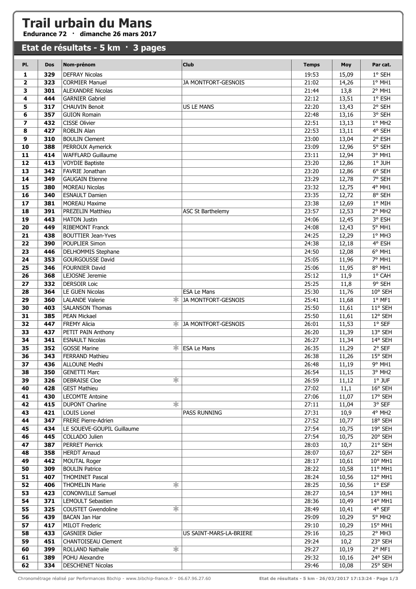## **Trail urbain du Mans**

**Endurance 72 · dimanche 26 mars 2017**

| Etat de résultats - 5 km · 3 pages |            |                                               |                            |                |                |                    |  |
|------------------------------------|------------|-----------------------------------------------|----------------------------|----------------|----------------|--------------------|--|
| PI.                                | <b>Dos</b> | Nom-prénom                                    | <b>Club</b>                | <b>Temps</b>   | Moy            | Par cat.           |  |
| 1                                  | 329        | <b>DEFRAY Nicolas</b>                         |                            | 19:53          | 15,09          | 1° SEH             |  |
| $\overline{\mathbf{2}}$            | 323        | <b>CORMIER Manuel</b>                         | JA MONTFORT-GESNOIS        | 21:02          | 14,26          | 1° MH1             |  |
| 3                                  | 301        | <b>ALEXANDRE Nicolas</b>                      |                            | 21:44          | 13,8           | 2° MH1             |  |
| 4                                  | 444        | <b>GARNIER Gabriel</b>                        |                            | 22:12          | 13,51          | 1° ESH             |  |
| 5                                  | 317        | <b>CHAUVIN Benoit</b>                         | <b>US LE MANS</b>          | 22:20          | 13,43          | 2° SEH             |  |
| 6                                  | 357        | <b>GUION Romain</b>                           |                            | 22:48          | 13,16          | 3° SEH             |  |
| 7                                  | 432        | <b>CISSE Olivier</b>                          |                            | 22:51          | 13,13          | 1° MH2             |  |
| 8                                  | 427        | ROBLIN Alan                                   |                            | 22:53          | 13,11          | 4° SEH             |  |
| 9                                  | 310        | <b>BOULIN Clement</b>                         |                            | 23:00          | 13,04          | 2° ESH             |  |
| 10                                 | 388        | PERROUX Aymerick                              |                            | 23:09          | 12,96          | 5° SEH             |  |
| 11                                 | 414        | <b>WAFFLARD Guillaume</b>                     |                            | 23:11          | 12,94          | 3° MH1             |  |
| 12                                 | 413        | <b>VOYDIE Baptiste</b>                        |                            | 23:20          | 12,86          | 1° JUH             |  |
| 13                                 | 342        | FAVRIE Jonathan<br><b>GAUGAIN Etienne</b>     |                            | 23:20          | 12,86          | 6° SEH<br>7° SEH   |  |
| 14                                 | 349        |                                               |                            | 23:29          | 12,78          |                    |  |
| 15<br>16                           | 380        | <b>MOREAU Nicolas</b>                         |                            | 23:32          | 12,75          | 4° MH1             |  |
| 17                                 | 340<br>381 | <b>ESNAULT Damien</b><br><b>MOREAU Maxime</b> |                            | 23:35<br>23:38 | 12,72<br>12,69 | 8° SEH<br>1° MIH   |  |
| 18                                 | 391        | PREZELIN Matthieu                             | <b>ASC St Barthelemy</b>   | 23:57          | 12,53          | 2° MH <sub>2</sub> |  |
| 19                                 | 443        | <b>HATON Justin</b>                           |                            | 24:06          | 12,45          | 3° ESH             |  |
| 20                                 | 449        | RIBEMONT Franck                               |                            | 24:08          | 12,43          | 5° MH1             |  |
| 21                                 | 438        | <b>BOUTTIER Jean-Yves</b>                     |                            | 24:25          | 12,29          | $1°$ MH3           |  |
| 22                                 | 390        | POUPLIER Simon                                |                            | 24:38          | 12,18          | 4° ESH             |  |
| 23                                 | 446        | DELHOMMIS Stephane                            |                            | 24:50          | 12,08          | 6° MH1             |  |
| 24                                 | 353        | <b>GOURGOUSSE David</b>                       |                            | 25:05          | 11,96          | 7° MH1             |  |
| 25                                 | 346        | <b>FOURNIER David</b>                         |                            | 25:06          | 11,95          | 8° MH1             |  |
| 26                                 | 368        | LEJOSNE Jeremie                               |                            | 25:12          | 11,9           | 1° CAH             |  |
| 27                                 | 332        | <b>DERSOIR Loic</b>                           |                            | 25:25          | 11,8           | 9° SEH             |  |
| 28                                 | 364        | LE GUEN Nicolas                               | <b>ESA Le Mans</b>         | 25:30          | 11,76          | 10° SEH            |  |
| 29                                 | 360        | ж.<br><b>LALANDE Valerie</b>                  | <b>JA MONTFORT-GESNOIS</b> | 25:41          | 11,68          | $1°$ MF1           |  |
| 30                                 | 403        | <b>SALANSON Thomas</b>                        |                            | 25:50          | 11,61          | 11° SEH            |  |
| 31                                 | 385        | <b>PEAN Mickael</b>                           |                            | 25:50          | 11,61          | 12° SEH            |  |
| 32                                 | 447        | <b>FREMY Alicia</b><br>ж.                     | <b>JA MONTFORT-GESNOIS</b> | 26:01          | 11,53          | $1°$ SEF           |  |
| 33                                 | 437        | PETIT PAIN Anthony                            |                            | 26:20          | 11,39          | 13° SEH            |  |
| 34                                 | 341        | <b>ESNAULT Nicolas</b>                        |                            | 26:27          | 11,34          | 14° SEH            |  |
| 35                                 | 352        | $\ast$<br><b>GOSSE Marine</b>                 | <b>ESA Le Mans</b>         | 26:35          | 11,29          | 2° SEF             |  |
| 36                                 | 343        | FERRAND Mathieu                               |                            | 26:38          | 11,26          | 15° SEH            |  |
| 37                                 | 436        | <b>ALLOUNE Medhi</b>                          |                            | 26:48          | 11,19          | 9° MH1             |  |
| 38                                 | 350        | <b>GENETTI Marc</b>                           |                            | 26:54          | 11,15          | 3° MH <sub>2</sub> |  |
| 39                                 | 326        | *<br><b>DEBRAISE Cloe</b>                     |                            | 26:59          | 11,12          | $1°$ JUF           |  |
| 40                                 | 428        | <b>GEST Mathieu</b>                           |                            | 27:02          | 11,1           | 16° SEH            |  |
| 41                                 | 430        | <b>LECOMTE Antoine</b>                        |                            | 27:06          | 11,07          | 17° SEH            |  |
| 42                                 | 415        | $\ast$<br><b>DUPONT Charline</b>              |                            | 27:11          | 11,04          | 3° SEF             |  |
| 43                                 | 421        | <b>LOUIS Lionel</b>                           | <b>PASS RUNNING</b>        | 27:31          | 10,9           | 4° MH2             |  |
| 44                                 | 347        | FRERE Pierre-Adrien                           |                            | 27:52          | 10,77          | 18° SEH            |  |
| 45<br>46                           | 434        | LE SOUEVE-GOUPIL Guillaume<br>COLLADO Julien  |                            | 27:54          | 10,75          | 19° SEH            |  |
| 47                                 | 445<br>387 | <b>PERRET Pierrick</b>                        |                            | 27:54<br>28:03 | 10,75<br>10,7  | 20° SEH<br>21° SEH |  |
| 48                                 | 358        | <b>HERDT Arnaud</b>                           |                            | 28:07          | 10,67          | 22° SEH            |  |
| 49                                 | 442        | <b>MOUTAL Roger</b>                           |                            | 28:17          | 10,61          | 10° MH1            |  |
| 50                                 | 309        | <b>BOULIN Patrice</b>                         |                            | 28:22          | 10,58          | 11° MH1            |  |
| 51                                 | 407        | <b>THOMINET Pascal</b>                        |                            | 28:24          | 10,56          | 12° MH1            |  |
| 52                                 | 406        | 宋<br><b>THOMELIN Marie</b>                    |                            | 28:25          | 10,56          | $1^{\circ}$ ESF    |  |
| 53                                 | 423        | <b>CONONVILLE Samuel</b>                      |                            | 28:27          | 10,54          | 13° MH1            |  |
| 54                                 | 371        | <b>LEMOULT Sebastien</b>                      |                            | 28:36          | 10,49          | 14° MH1            |  |
| 55                                 | 325        | $\ast$<br><b>COUSTET Gwendoline</b>           |                            | 28:49          | 10,41          | 4° SEF             |  |
| 56                                 | 439        | <b>BACAN Jan Har</b>                          |                            | 29:09          | 10,29          | 5° MH <sub>2</sub> |  |
| 57                                 | 417        | <b>MILOT Frederic</b>                         |                            | 29:10          | 10,29          | 15° MH1            |  |
| 58                                 | 433        | <b>GASNIER Didier</b>                         | US SAINT-MARS-LA-BRIERE    | 29:16          | 10,25          | $2°$ MH3           |  |
| 59                                 | 451        | CHANTOISEAU Clement                           |                            | 29:24          | 10,2           | 23° SEH            |  |
| 60                                 | 399        | ☀<br><b>ROLLAND Nathalie</b>                  |                            | 29:27          | 10,19          | $2°$ MF1           |  |
| 61                                 | 389        | POHU Alexandre                                |                            | 29:32          | 10,16          | 24° SEH            |  |
| 62                                 | 334        | <b>DESCHENET Nicolas</b>                      |                            | 29:46          | 10,08          | 25° SEH            |  |

Chronométrage réalisé par Performances Bbchip - www.bibchip-france.fr - 06.67.96.27.60 **Etat de résultats - 5 km · 26/03/2017 17:13:24 · Page 1/3**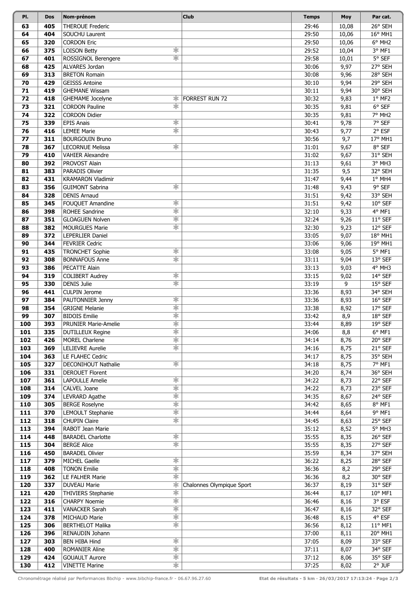| PI.        | <b>Dos</b> | Nom-prénom                                           | <b>Club</b>               | <b>Temps</b>   | Moy          | Par cat.           |
|------------|------------|------------------------------------------------------|---------------------------|----------------|--------------|--------------------|
| 63         | 405        | <b>THEROUE Frederic</b>                              |                           | 29:46          | 10,08        | 26° SEH            |
| 64         | 404        | SOUCHU Laurent                                       |                           | 29:50          | 10,06        | 16° MH1            |
| 65         | 320        | <b>CORDON Eric</b>                                   |                           | 29:50          | 10,06        | 6° MH <sub>2</sub> |
| 66         | 375        | 宋<br><b>LOISON Betty</b>                             |                           | 29:52          | 10,04        | 3° MF1             |
| 67         | 401        | $\overline{\ast}$<br>ROSSIGNOL Berengere             |                           | 29:58          | 10,01        | 5° SEF             |
| 68         | 425        | ALVARES Jordan                                       |                           | 30:06          | 9,97         | 27° SEH            |
| 69         | 313        | <b>BRETON Romain</b>                                 |                           | 30:08          | 9,96         | 28° SEH            |
| 70         | 429        | <b>GEISSS Antoine</b>                                |                           | 30:10          | 9,94         | 29° SEH            |
| 71         | 419        | <b>GHEMANE Wissam</b>                                |                           | 30:11          | 9,94         | 30° SEH            |
| 72         | 418        | GHEMAME Jocelyne<br>ж.                               | <b>FORREST RUN 72</b>     | 30:32          | 9,83         | 1° MF2             |
| 73         | 321        | $\overline{\ast}$<br><b>CORDON Pauline</b>           |                           | 30:35          | 9,81         | 6° SEF             |
| 74         | 322        | <b>CORDON Didier</b>                                 |                           | 30:35          | 9,81         | 7° MH2             |
| 75         | 339        | $\overline{\ast}$<br><b>EPIS Anais</b>               |                           | 30:41          | 9,78         | 7° SEF             |
| 76         | 416        | $\overline{\ast}$<br><b>LEMEE Marie</b>              |                           | 30:43          | 9,77         | 2° ESF             |
| 77         | 311        | <b>BOURGOUIN Bruno</b>                               |                           | 30:56          | 9,7          | 17° MH1            |
| 78         | 367        | ∗<br><b>LECORNUE Melissa</b>                         |                           | 31:01          | 9,67         | 8° SEF             |
| 79         | 410        | <b>VAHIER Alexandre</b>                              |                           | 31:02          | 9,67         | 31° SEH            |
| 80         | 392        | PROVOST Alain                                        |                           | 31:13          | 9,61         | 3° MH3             |
| 81         | 383        | PARADIS Olivier                                      |                           | 31:35          | 9,5          | 32° SEH            |
| 82         | 431        | <b>KRAMARON Vladimir</b>                             |                           | 31:47          | 9,44         | $1°$ MH4           |
| 83         | 356        | $\overline{\ast}$<br><b>GUIMONT Sabrina</b>          |                           | 31:48          | 9,43         | 9° SEF             |
| 84         | 328        | <b>DENIS Arnaud</b>                                  |                           | 31:51          | 9,42         | 33° SEH            |
| 85         | 345        | $\overline{\ast}$<br>FOUQUET Amandine                |                           | 31:51          | 9,42         | 10° SEF            |
| 86         | 398        | $\overline{\ast}$<br><b>ROHEE Sandrine</b>           |                           | 32:10          | 9,33         | 4° MF1             |
| 87         | 351        | $\overline{\ast}$<br><b>GLOAGUEN Nolven</b><br>宋     |                           | 32:24          | 9,26         | 11° SEF            |
| 88         | 382        | <b>MOURGUES Marie</b>                                |                           | 32:30          | 9,23         | 12° SEF            |
| 89         | 372        | LEPERLIER Daniel                                     |                           | 33:05          | 9,07         | 18° MH1            |
| 90<br>91   | 344<br>435 | <b>FEVRIER Cedric</b><br>$\overline{\ast}$           |                           | 33:06<br>33:08 | 9,06         | 19° MH1<br>5° MF1  |
| 92         | 308        | <b>TRONCHET Sophie</b><br>宋<br><b>BONNAFOUS Anne</b> |                           | 33:11          | 9,05<br>9,04 | 13° SEF            |
| 93         | 386        | PECATTE Alain                                        |                           | 33:13          | 9,03         | 4° MH3             |
| 94         | 319        | ☀<br><b>COLIBERT Audrey</b>                          |                           | 33:15          | 9,02         | 14° SEF            |
| 95         | 330        | $\overline{\ast}$<br><b>DENIS Julie</b>              |                           | 33:19          | 9            | 15° SEF            |
| 96         | 441        | <b>CULPIN Jerome</b>                                 |                           | 33:36          | 8,93         | 34° SEH            |
| 97         | 384        | ☀<br>PAUTONNIER Jenny                                |                           | 33:36          | 8,93         | 16° SEF            |
| 98         | 354        | $\overline{\ast}$<br><b>GRIGNE Melanie</b>           |                           | 33:38          | 8,92         | 17° SEF            |
| 99         | 307        | $\overline{\ast}$<br><b>BIDOIS Emilie</b>            |                           | 33:42          | 8,9          | 18° SEF            |
| 100        | 393        | 末<br><b>PRUNIER Marie-Amelie</b>                     |                           | 33:44          | 8,89         | 19° SEF            |
| 101        | 335        | $\ast$<br><b>DUTILLEUX Regine</b>                    |                           | 34:06          | 8,8          | 6° MF1             |
| 102        | 426        | $\overline{\ast}$<br>MOREL Charlene                  |                           | 34:14          | 8,76         | 20° SEF            |
| 103        | 369        | $\overline{\ast}$<br><b>LELIEVRE Aurelie</b>         |                           | 34:16          | 8,75         | 21° SEF            |
| 104        | 363        | LE FLAHEC Cedric                                     |                           | 34:17          | 8,75         | 35° SEH            |
| 105        | 327        | ☀<br>DECONIHOUT Nathalie                             |                           | 34:18          | 8,75         | 7° MF1             |
| 106        | 331        | <b>DEROUET Florent</b>                               |                           | 34:20          | 8,74         | 36° SEH            |
| 107        | 361        | $\overline{\ast}$<br><b>LAPOULLE Amelie</b>          |                           | 34:22          | 8,73         | 22° SEF            |
| 108        | 314        | $\overline{\ast}$<br>CALVEL Joane                    |                           | 34:22          | 8,73         | 23° SEF            |
| 109        | 374        | $\overline{\ast}$<br>LEVRARD Agathe                  |                           | 34:35          | 8,67         | 24° SEF            |
| 110        | 305        | $\overline{\ast}$<br><b>BERGE Roselyne</b>           |                           | 34:42          | 8,65         | 8° MF1             |
| 111        | 370        | $\ddot{\ast}$<br>LEMOULT Stephanie                   |                           | 34:44          | 8,64         | 9° MF1             |
| 112        | 318        | $\overline{\ast}$<br><b>CHUPIN Claire</b>            |                           | 34:45          | 8,63         | 25° SEF            |
| 113        | 394        | RABOT Jean Marie<br>☀<br><b>BARADEL Charlotte</b>    |                           | 35:12          | 8,52         | 5° MH3             |
| 114<br>115 | 448<br>304 | $\overline{\ast}$<br><b>BERGE Alice</b>              |                           | 35:55<br>35:55 | 8,35<br>8,35 | 26° SEF<br>27° SEF |
| 116        | 450        | <b>BARADEL Olivier</b>                               |                           | 35:59          | 8,34         | 37° SEH            |
| 117        | 379        | $\overline{\ast}$<br>MICHEL Gaelle                   |                           | 36:22          | 8,25         | 28° SEF            |
| 118        | 408        | $\overline{\ast}$<br><b>TONON Emilie</b>             |                           | 36:36          | 8,2          | 29° SEF            |
| 119        | 362        | $\overline{\ast}$<br>LE FALHER Marie                 |                           | 36:36          | 8,2          | 30° SEF            |
| 120        | 337        | *<br><b>DUVEAU Marie</b>                             | Chalonnes Olympique Sport | 36:37          | 8,19         | 31° SEF            |
| 121        | 420        | $\ddot{\ast}$<br>THIVIERS Stephanie                  |                           | 36:44          | 8,17         | 10° MF1            |
| 122        | 316        | $\overline{\ast}$<br><b>CHARPY Noemie</b>            |                           | 36:46          | 8,16         | 3° ESF             |
| 123        | 411        | $\overline{\ast}$<br><b>VANACKER Sarah</b>           |                           | 36:47          | 8,16         | 32° SEF            |
| 124        | 378        | $\overline{\ast}$<br><b>MICHAUD Marie</b>            |                           | 36:48          | 8,15         | 4° ESF             |
| 125        | 306        | $\overline{\ast}$<br><b>BERTHELOT Malika</b>         |                           | 36:56          | 8,12         | $11^{\circ}$ MF1   |
| 126        | 396        | RENAUDIN Johann                                      |                           | 37:00          | 8,11         | 20° MH1            |
| 127        | 303        | $\overline{\ast}$<br><b>BEN HIBA Hind</b>            |                           | 37:05          | 8,09         | 33° SEF            |
| 128        | 400        | $\overline{\ast}$<br><b>ROMANIER Aline</b>           |                           | 37:11          | 8,07         | 34° SEF            |
| 129        | 424        | $\overline{\ast}$<br><b>GOUAULT Aurore</b>           |                           | 37:12          | 8,06         | 35° SEF            |
| 130        | 412        | $\overline{\ast}$<br><b>VINETTE Marine</b>           |                           | 37:25          | 8,02         | 2° JUF             |

Chronométrage réalisé par Performances Bbchip - www.bibchip-france.fr - 06.67.96.27.60 **Etat de résultats - 5 km · 26/03/2017 17:13:24 · Page 2/3**